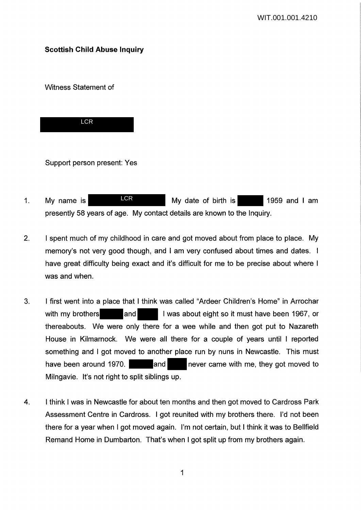# **Scottish Child Abuse Inquiry**

Witness Statement of



Support person present: Yes

- 1. My name is Most Light My date of birth is 1959 and I am presently 58 years of age. My contact details are known to the Inquiry. LCR
- 2. I spent much of my childhood in care and got moved about from place to place. My memory's not very good though, and I am very confused about times and dates. I have great difficulty being exact and it's difficult for me to be precise about where I was and when.
- 3. I first went into a place that I think was called "Ardeer Children's Home" in Arrochar with my brothers and I was about eight so it must have been 1967, or thereabouts. We were only there for a wee while and then got put to Nazareth House in Kilmarnock. We were all there for a couple of years until I reported something and I got moved to another place run by nuns in Newcastle. This must have been around 1970. **A net and Let also rever came with me, they got moved to** Milngavie. It's not right to split siblings up.
- 4. I think I was in Newcastle for about ten months and then got moved to Cardross Park Assessment Centre in Cardross. I got reunited with my brothers there. I'd not been there for a year when I got moved again. I'm not certain, but I think it was to Bellfield Remand Home in Dumbarton. That's when I got split up from my brothers again.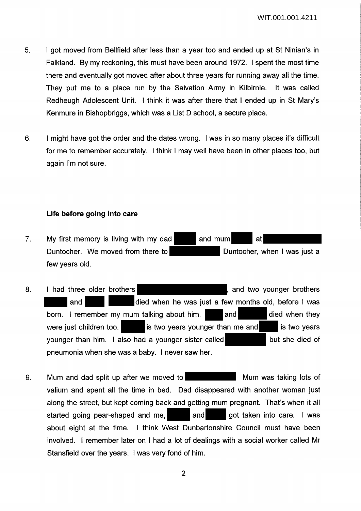- 5. I got moved from Bellfield after less than a year too and ended up at St Ninian's in Falkland. By my reckoning, this must have been around 1972. I spent the most time there and eventually got moved after about three years for running away all the time. They put me to a place run by the Salvation Army in Kilbirnie. It was called Redheugh Adolescent Unit. I think it was after there that I ended up in St Mary's Kenmure in Bishopbriggs, which was a List D school, a secure place.
- 6. I might have got the order and the dates wrong. I was in so many places it's difficult for me to remember accurately. I think I may well have been in other places too, but again I'm not sure.

# **Life before going into care**

- 7. My first memory is living with my dad  $\blacksquare$  and mum at Duntocher. We moved from there to Duntocher, when I was just a few years old.
- 8. I had three older brothers **and the set of the set of the set of the set of the set of the set of the set of the set of the set of the set of the set of the set of the set of the set of the set of the set of the set of** and and died when he was just a few months old, before I was born. I remember my mum talking about him. and and died when they were just children too.  $\blacksquare$  is two years younger than me and is two years younger than him. I also had a younger sister called but she died of pneumonia when she was a baby. I never saw her.
- 9. Mum and dad split up after we moved to **Multan and Mum was taking lots of** Mum was taking lots of valium and spent all the time in bed. Dad disappeared with another woman just along the street, but kept coming back and getting mum pregnant. That's when it all started going pear-shaped and me, and got taken into care. I was about eight at the time. I think West Dunbartonshire Council must have been involved. I remember later on I had a lot of dealings with a social worker called Mr Stansfield over the years. I was very fond of him.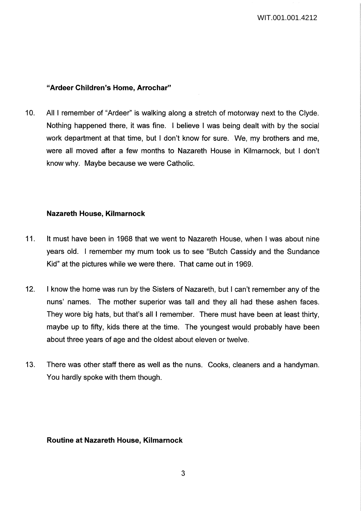## **"Ardeer Children's Home, Arrochar"**

10. All I remember of "Ardeer" is walking along a stretch of motorway next to the Clyde. Nothing happened there, it was fine. I believe I was being dealt with by the social work department at that time, but I don't know for sure. We, my brothers and me, were all moved after a few months to Nazareth House in Kilmarnock, but I don't know why. Maybe because we were Catholic.

## **Nazareth House, Kilmarnock**

- 11. It must have been in 1968 that we went to Nazareth House, when I was about nine years old. I remember my mum took us to see "Butch Cassidy and the Sundance Kid" at the pictures while we were there. That came out in 1969.
- 12. I know the home was run by the Sisters of Nazareth, but I can't remember any of the nuns' names. The mother superior was tall and they all had these ashen faces. They wore big hats, but that's all I remember. There must have been at least thirty, maybe up to fifty, kids there at the time. The youngest would probably have been about three years of age and the oldest about eleven or twelve.
- 13. There was other staff there as well as the nuns. Cooks, cleaners and a handyman. You hardly spoke with them though.

### **Routine at Nazareth House, Kilmarnock**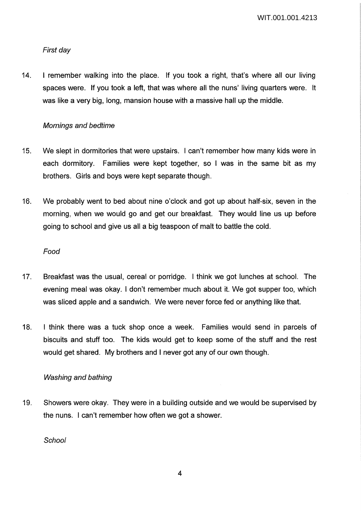WIT.001.001.4213

# First day

14. I remember walking into the place. If you took a right, that's where all our living spaces were. If you took a left, that was where all the nuns' living quarters were. It was like a very big, long, mansion house with a massive hall up the middle.

# Mornings and bedtime

- 15. We slept in dormitories that were upstairs. I can't remember how many kids were in each dormitory. Families were kept together, so I was in the same bit as my brothers. Girls and boys were kept separate though.
- 16. We probably went to bed about nine o'clock and got up about half-six, seven in the morning, when we would go and get our breakfast. They would line us up before going to school and give us all a big teaspoon of malt to battle the cold.

### Food

- 17. Breakfast was the usual, cereal or porridge. I think we got lunches at school. The evening meal was okay. I don't remember much about it. We got supper too, which was sliced apple and a sandwich. We were never force fed or anything like that.
- 18. I think there was a tuck shop once a week. Families would send in parcels of biscuits and stuff too. The kids would get to keep some of the stuff and the rest would get shared. My brothers and I never got any of our own though.

# Washing and bathing

19. Showers were okay. They were in a building outside and we would be supervised by the nuns. I can't remember how often we got a shower.

**School** 

4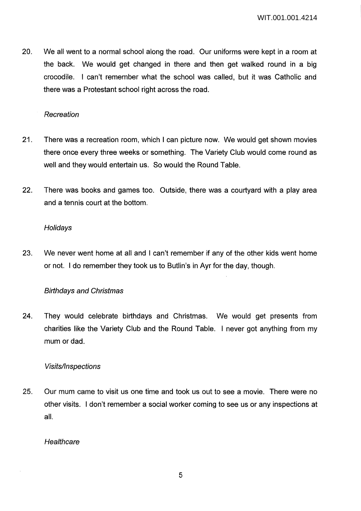20. We all went to a normal school along the road. Our uniforms were kept in a room at the back. We would get changed in there and then get walked round in a big crocodile. I can't remember what the school was called, but it was Catholic and there was a Protestant school right across the road.

## Recreation

- 21. There was a recreation room, which I can picture now. We would get shown movies there once every three weeks or something. The Variety Club would come round as well and they would entertain us. So would the Round Table.
- 22. There was books and games too. Outside, there was a courtyard with a play area and a tennis court at the bottom.

## **Holidays**

23. We never went home at all and I can't remember if any of the other kids went home or not. I do remember they took us to Butlin's in Ayr for the day, though.

# Birthdays and Christmas

24. They would celebrate birthdays and Christmas. We would get presents from charities like the Variety Club and the Round Table. I never got anything from my mum or dad.

# Visits/Inspections

25. Our mum came to visit us one time and took us out to see a movie. There were no other visits. I don't remember a social worker coming to see us or any inspections at all.

### **Healthcare**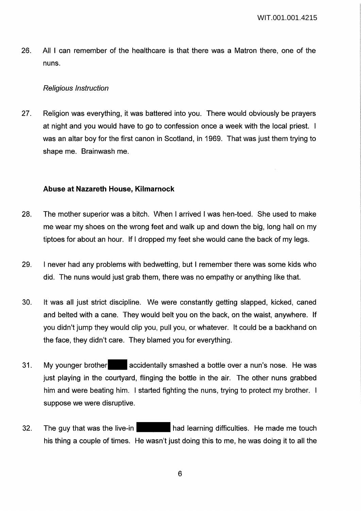26. All I can remember of the healthcare is that there was a Matron there, one of the nuns.

## Religious Instruction

27. Religion was everything, it was battered into you. There would obviously be prayers at night and you would have to go to confession once a week with the local priest. I was an altar boy for the first canon in Scotland, in 1969. That was just them trying to shape me. Brainwash me.

# **Abuse at Nazareth House, Kilmarnock**

- 28. The mother superior was a bitch. When I arrived I was hen-toed. She used to make me wear my shoes on the wrong feet and walk up and down the big, long hall on my tiptoes for about an hour. If I dropped my feet she would cane the back of my legs.
- 29. I never had any problems with bedwetting, but I remember there was some kids who did. The nuns would just grab them, there was no empathy or anything like that.
- 30. It was all just strict discipline. We were constantly getting slapped, kicked, caned and belted with a cane. They would belt you on the back, on the waist, anywhere. If you didn't jump they would clip you, pull you, or whatever. It could be a backhand on the face, they didn't care. They blamed you for everything.
- 31. My younger brother accidentally smashed a bottle over a nun's nose. He was just playing in the courtyard, flinging the bottle in the air. The other nuns grabbed him and were beating him. I started fighting the nuns, trying to protect my brother. I suppose we were disruptive.
- 32. The guy that was the live-in had learning difficulties. He made me touch his thing a couple of times. He wasn't just doing this to me, he was doing it to all the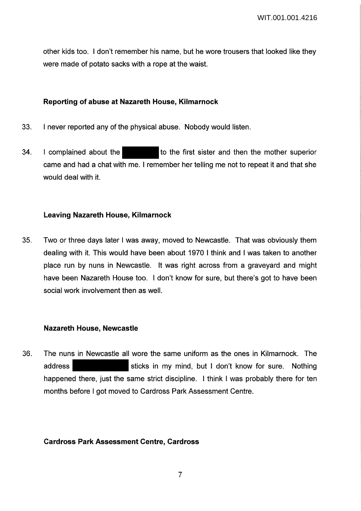other kids too. I don't remember his name, but he wore trousers that looked like they were made of potato sacks with a rope at the waist.

# **Reporting of abuse at Nazareth House, Kilmarnock**

- 33. I never reported any of the physical abuse. Nobody would listen.
- 34. I complained about the to the first sister and then the mother superior came and had a chat with me. I remember her telling me not to repeat it and that she would deal with it.

## **Leaving Nazareth House, Kilmarnock**

35. Two or three days later I was away, moved to Newcastle. That was obviously them dealing with it. This would have been about 1970 I think and I was taken to another place run by nuns in Newcastle. It was right across from a graveyard and might have been Nazareth House too. I don't know for sure, but there's got to have been social work involvement then as well.

### **Nazareth House, Newcastle**

36. The nuns in Newcastle all wore the same uniform as the ones in Kilmarnock. The address sticks in my mind, but I don't know for sure. Nothing happened there, just the same strict discipline. I think I was probably there for ten months before I got moved to Cardross Park Assessment Centre.

### **Cardross Park Assessment Centre, Cardross**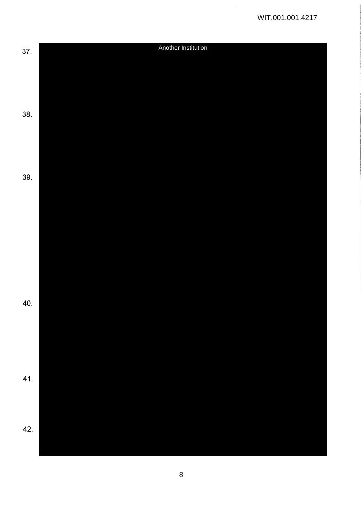$\frac{1}{2}$ 

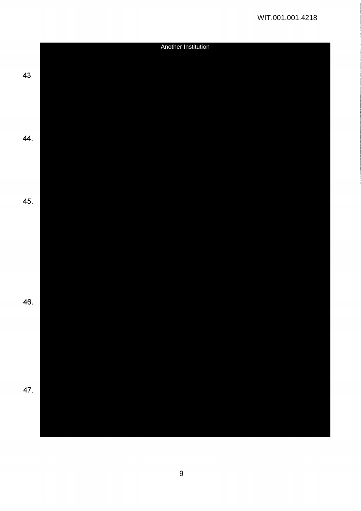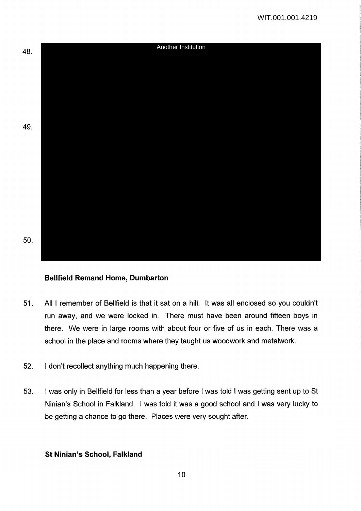

# **Bellfield Remand Home, Dumbarton**

- 51. All I remember of Bellfield is that it sat on a hill. It was all enclosed so you couldn't run away, and we were locked in. There must have been around fifteen boys in there. We were in large rooms with about four or five of us in each. There was a school in the place and rooms where they taught us woodwork and metalwork.
- 52. I don't recollect anything much happening there.
- 53. I was only in Bellfield for less than a year before I was told I was getting sent up to St Ninian's School in Falkland. I was told it was a good school and I was very lucky to be getting a chance to go there. Places were very sought after.

### **St Ninian's School, Falkland**

10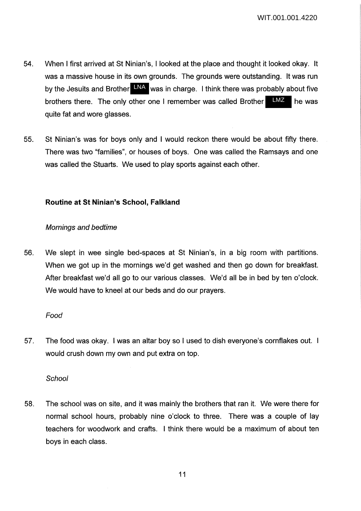- 54. When I first arrived at St Ninian's, I looked at the place and thought it looked okay. It was a massive house in its own grounds. The grounds were outstanding. It was run by the Jesuits and Brother LNA was in charge. I think there was probably about five brothers there. The only other one I remember was called Brother  $\Box MZ$  he was quite fat and wore glasses. LMZ
- 55. St Ninian's was for boys only and I would reckon there would be about fifty there. There was two "families", or houses of boys. One was called the Ramsays and one was called the Stuarts. We used to play sports against each other.

# **Routine at St Ninian's School, Falkland**

## Mornings and bedtime

56. We slept in wee single bed-spaces at St Ninian's, in a big room with partitions. When we got up in the mornings we'd get washed and then go down for breakfast. After breakfast we'd all go to our various classes. We'd all be in bed by ten o'clock. We would have to kneel at our beds and do our prayers.

# Food

57. The food was okay. I was an altar boy so I used to dish everyone's cornflakes out. would crush down my own and put extra on top.

# **School**

58. The school was on site, and it was mainly the brothers that ran it. We were there for normal school hours, probably nine o'clock to three. There was a couple of lay teachers for woodwork and crafts. I think there would be a maximum of about ten boys in each class.

11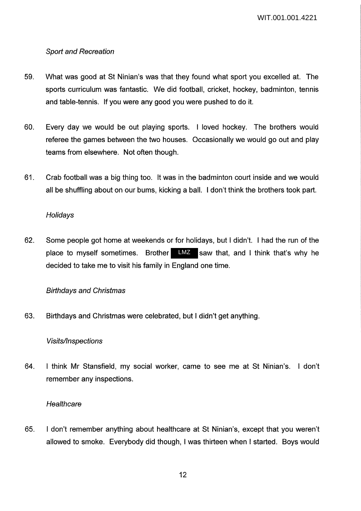# Sport and Recreation

- 59. What was good at St Ninian's was that they found what sport you excelled at. The sports curriculum was fantastic. We did football, cricket, hockey, badminton, tennis and table-tennis. If you were any good you were pushed to do it.
- 60. Every day we would be out playing sports. I loved hockey. The brothers would referee the games between the two houses. Occasionally we would go out and play teams from elsewhere. Not often though.
- 61. Crab football was a big thing too. It was in the badminton court inside and we would all be shuffling about on our bums, kicking a ball. I don't think the brothers took part.

# **Holidays**

62. Some people got home at weekends or for holidays, but I didn't. I had the run of the place to myself sometimes. Brother LMZ saw that, and I think that's why he decided to take me to visit his family in England one time.

# Birthdays and Christmas

63. Birthdays and Christmas were celebrated, but I didn't get anything.

# Visits/Inspections

64. I think Mr Stansfield, my social worker, came to see me at St Ninian's. I don't remember any inspections.

# **Healthcare**

65. I don't remember anything about healthcare at St Ninian's, except that you weren't allowed to smoke. Everybody did though, I was thirteen when I started. Boys would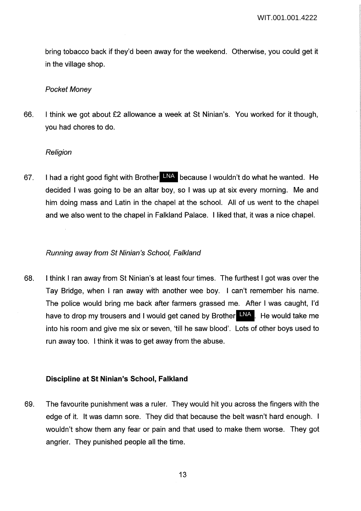bring tobacco back if they'd been away for the weekend. Otherwise, you could get it in the village shop.

#### Pocket Money

66. I think we got about £2 allowance a week at St Ninian's. You worked for it though, you had chores to do.

#### **Religion**

67. I had a right good fight with Brother LNA because I wouldn't do what he wanted. He decided I was going to be an altar boy, so I was up at six every morning. Me and him doing mass and Latin in the chapel at the school. All of us went to the chapel and we also went to the chapel in Falkland Palace. I liked that, it was a nice chapel.

#### Running away from St Ninian's School, Falkland

68. I think I ran away from St Ninian's at least four times. The furthest I got was over the Tay Bridge, when I ran away with another wee boy. I can't remember his name. The police would bring me back after farmers grassed me. After I was caught, I'd have to drop my trousers and I would get caned by Brother LNA. He would take me into his room and give me six or seven, 'till he saw blood'. Lots of other boys used to run away too. I think it was to get away from the abuse.

### **Discipline at St Ninian's School, Falkland**

69. The favourite punishment was a ruler. They would hit you across the fingers with the edge of it. It was damn sore. They did that because the belt wasn't hard enough. I wouldn't show them any fear or pain and that used to make them worse. They got angrier. They punished people all the time.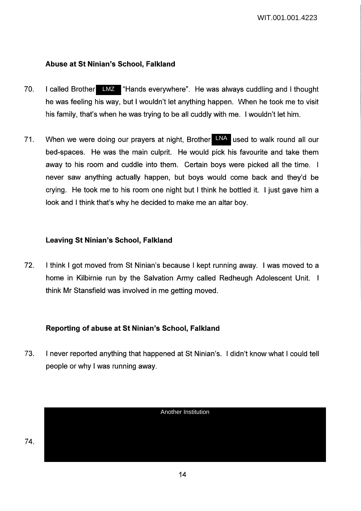# **Abuse at St Ninian's School, Falkland**

- 70. I called Brother LMZ "Hands everywhere". He was always cuddling and I thought he was feeling his way, but I wouldn't let anything happen. When he took me to visit his family, that's when he was trying to be all cuddly with me. I wouldn't let him.
- 71. When we were doing our prayers at night, Brother LNA used to walk round all our bed-spaces. He was the main culprit. He would pick his favourite and take them away to his room and cuddle into them. Certain boys were picked all the time. I never saw anything actually happen, but boys would come back and they'd be crying. He took me to his room one night but I think he bottled it. I just gave him a look and I think that's why he decided to make me an altar boy.

# **Leaving St Ninian's School, Falkland**

72. I think I got moved from St Ninian's because I kept running away. I was moved to a home in Kilbirnie run by the Salvation Army called Redheugh Adolescent Unit. think Mr Stansfield was involved in me getting moved.

# **Reporting of abuse at St Ninian's School, Falkland**

73. I never reported anything that happened at St Ninian's. I didn't know what I could tell people or why I was running away.

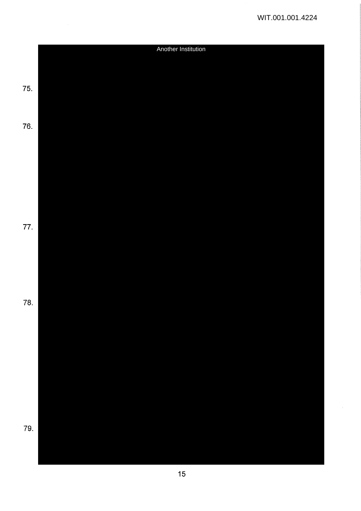$\hat{\mathcal{A}}$ 

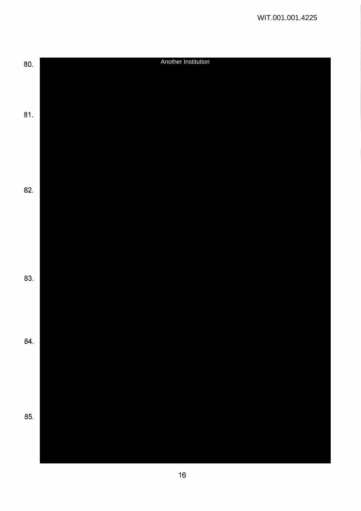| 80. | Another Institution |  |  |  |
|-----|---------------------|--|--|--|
|     |                     |  |  |  |
|     |                     |  |  |  |
|     |                     |  |  |  |
|     |                     |  |  |  |
| 81. |                     |  |  |  |
|     |                     |  |  |  |
|     |                     |  |  |  |
|     |                     |  |  |  |
|     |                     |  |  |  |
|     |                     |  |  |  |
|     |                     |  |  |  |
| 82. |                     |  |  |  |
|     |                     |  |  |  |
|     |                     |  |  |  |
|     |                     |  |  |  |
|     |                     |  |  |  |
|     |                     |  |  |  |
|     |                     |  |  |  |
|     |                     |  |  |  |
| 83. |                     |  |  |  |
|     |                     |  |  |  |
|     |                     |  |  |  |
|     |                     |  |  |  |
|     |                     |  |  |  |
|     |                     |  |  |  |
| 84. |                     |  |  |  |
|     |                     |  |  |  |
|     |                     |  |  |  |
|     |                     |  |  |  |
|     |                     |  |  |  |
|     |                     |  |  |  |
| 85. |                     |  |  |  |
|     |                     |  |  |  |
|     |                     |  |  |  |
|     |                     |  |  |  |
|     |                     |  |  |  |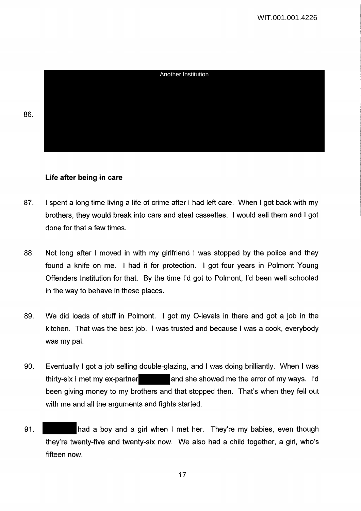Another Institution

# **Life after being in care**

- 87. I spent a long time living a life of crime after I had left care. When I got back with my brothers, they would break into cars and steal cassettes. I would sell them and I got done for that a few times.
- 88. Not long after I moved in with my girlfriend I was stopped by the police and they found a knife on me. I had it for protection. I got four years in Polmont Young Offenders Institution for that. By the time I'd got to Polmont, I'd been well schooled in the way to behave in these places.
- 89. We did loads of stuff in Polmont. I got my 0-levels in there and got a job in the kitchen. That was the best job. I was trusted and because I was a cook, everybody was my pal.
- 90. Eventually I got a job selling double-glazing, and I was doing brilliantly. When I was thirty-six I met my ex-partner and she showed me the error of my ways. I'd been giving money to my brothers and that stopped then. That's when they fell out with me and all the arguments and fights started.
- 91. had a boy and a girl when I met her. They're my babies, even though they're twenty-five and twenty-six now. We also had a child together, a girl, who's fifteen now.

86.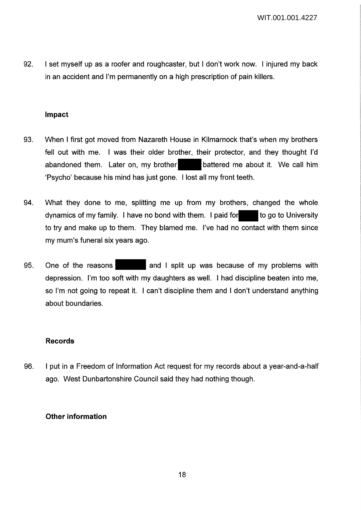92. I set myself up as a roofer and roughcaster, but I don't work now. I injured my back in an accident and I'm permanently on a high prescription of pain killers.

### **Impact**

- 93. When I first got moved from Nazareth House in Kilmarnock that's when my brothers fell out with me. I was their older brother, their protector, and they thought I'd abandoned them. Later on, my brother battered me about it. We call him 'Psycho' because his mind has just gone. I lost all my front teeth.
- 94. What they done to me, splitting me up from my brothers, changed the whole dynamics of my family. I have no bond with them. I paid for to go to University to try and make up to them. They blamed me. I've had no contact with them since my mum's funeral six years ago.
- 95. One of the reasons and I split up was because of my problems with depression. I'm too soft with my daughters as well. I had discipline beaten into me, so I'm not going to repeat it. I can't discipline them and I don't understand anything about boundaries.

### **Records**

96. I put in a Freedom of Information Act request for my records about a year-and-a-half ago. West Dunbartonshire Council said they had nothing though.

### **Other information**